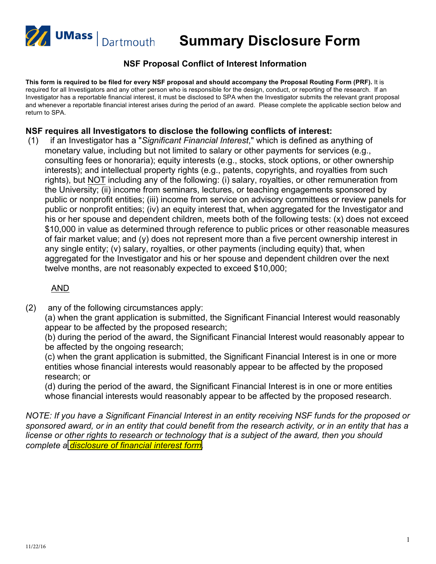

**Summary Disclosure Form**

## **NSF Proposal Conflict of Interest Information**

This form is required to be filed for every NSF proposal and should accompany the Proposal Routing Form (PRF). It is required for all Investigators and any other person who is responsible for the design, conduct, or reporting of the research. If an Investigator has a reportable financial interest, it must be disclosed to SPA when the Investigator submits the relevant grant proposal and whenever a reportable financial interest arises during the period of an award. Please complete the applicable section below and return to SPA.

## **NSF requires all Investigators to disclose the following conflicts of interest:**

(1) if an Investigator has a "*Significant Financial Interest*," which is defined as anything of monetary value, including but not limited to salary or other payments for services (e.g., consulting fees or honoraria); equity interests (e.g., stocks, stock options, or other ownership interests); and intellectual property rights (e.g., patents, copyrights, and royalties from such rights), but NOT including any of the following: (i) salary, royalties, or other remuneration from the University; (ii) income from seminars, lectures, or teaching engagements sponsored by public or nonprofit entities; (iii) income from service on advisory committees or review panels for public or nonprofit entities; (iv) an equity interest that, when aggregated for the Investigator and his or her spouse and dependent children, meets both of the following tests: (x) does not exceed \$10,000 in value as determined through reference to public prices or other reasonable measures of fair market value; and (y) does not represent more than a five percent ownership interest in any single entity; (v) salary, royalties, or other payments (including equity) that, when aggregated for the Investigator and his or her spouse and dependent children over the next twelve months, are not reasonably expected to exceed \$10,000;

## AND

(2) any of the following circumstances apply:

(a) when the grant application is submitted, the Significant Financial Interest would reasonably appear to be affected by the proposed research;

(b) during the period of the award, the Significant Financial Interest would reasonably appear to be affected by the ongoing research;

(c) when the grant application is submitted, the Significant Financial Interest is in one or more entities whose financial interests would reasonably appear to be affected by the proposed research; or

(d) during the period of the award, the Significant Financial Interest is in one or more entities whose financial interests would reasonably appear to be affected by the proposed research.

*NOTE: If you have a Significant Financial Interest in an entity receiving NSF funds for the proposed or sponsored award, or in an entity that could benefit from the research activity, or in an entity that has a license or other rights to research or technology that is a subject of the award, then you should complete a [disclosure of financial interest form.](http://www.umassd.edu/media/umassdartmouth/advancedtechnologymanufacturingcenter/institutionalcompliance/DISCLOSURE_OF_FINANCIAL_INTEREST_FORM.docx)*